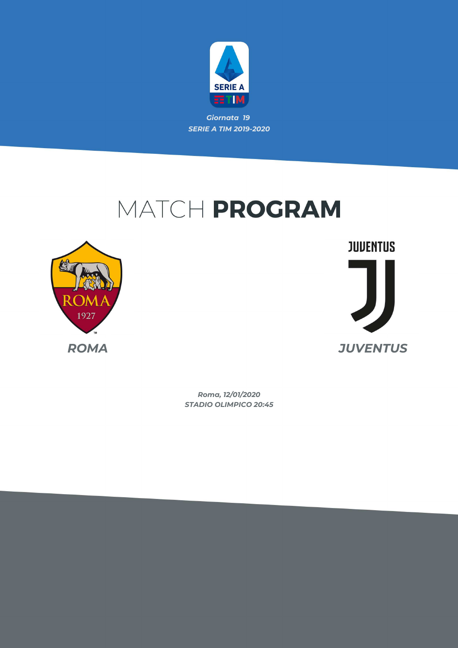

*Giornata 19 SERIE A TIM 2019-2020*

# MATCH PROGRAM



**JUVENTUS** *ROMA JUVENTUS*

> *STADIO OLIMPICO 20:45 Roma, 12/01/2020*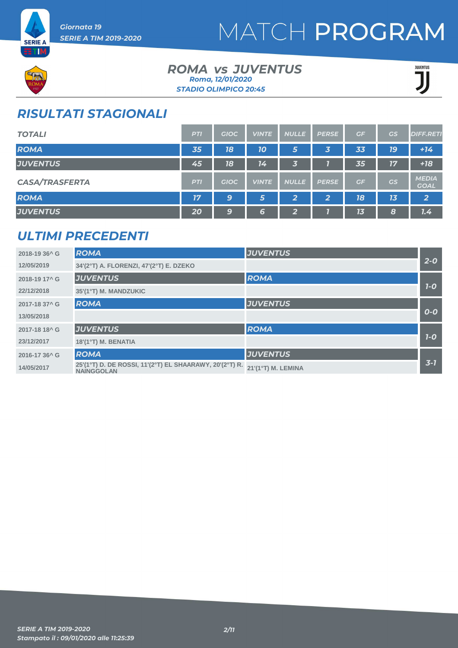



### *ROMA JUVENTUS vs STADIO OLIMPICO 20:45 Roma, 12/01/2020*



### *RISULTATI STAGIONALI*

| <b>TOTALI</b>         | <b>PTI</b> | <b>GIOC</b> | <b>VINTE</b> | <b>NULLE</b> | <b>PERSE</b> | GF | GS | <b>DIFF.RETI</b>            |
|-----------------------|------------|-------------|--------------|--------------|--------------|----|----|-----------------------------|
| <b>ROMA</b>           | 35         | 18          | <b>10</b>    | 5            | 3            | 33 | 79 | $+14$                       |
| <b>JUVENTUS</b>       | 45         | 18          | 14           | 3            |              | 35 | 17 | $+18$                       |
| <b>CASA/TRASFERTA</b> | <b>PTI</b> | <b>GIOC</b> | <b>VINTE</b> | <b>NULLE</b> | <b>PERSE</b> | GF | GS | <b>MEDIA</b><br><b>GOAL</b> |
| <b>ROMA</b>           | 17         | 9           | 5            | $\mathbf{2}$ | 2            | 18 | 13 | $\overline{2}$              |
| <b>JUVENTUS</b>       | 20         | 9           | 6            | 2            |              | 13 | 8  | 7.4                         |

### *ULTIMI PRECEDENTI*

| 2018-19 36^ G             | <b>ROMA</b>                                                                  | <b>JUVENTUS</b>    |         |
|---------------------------|------------------------------------------------------------------------------|--------------------|---------|
| 12/05/2019                | 34'(2°T) A. FLORENZI, 47'(2°T) E. DZEKO                                      |                    | $2 - 0$ |
| 2018-19 17^ G             | <b>JUVENTUS</b>                                                              | <b>ROMA</b>        |         |
| 22/12/2018                | 35'(1°T) M. MANDZUKIC                                                        |                    | $7-0$   |
| 2017-18 37^ G             | <b>ROMA</b>                                                                  | <b>JUVENTUS</b>    |         |
| 13/05/2018                |                                                                              |                    | $O-O$   |
| 2017-18 18 <sup>^</sup> G | <b>JUVENTUS</b>                                                              | <b>ROMA</b>        |         |
| 23/12/2017                | 18'(1°T) M. BENATIA                                                          |                    | $7-0$   |
| 2016-17 36 <sup>^</sup> G | <b>ROMA</b>                                                                  | <b>JUVENTUS</b>    |         |
| 14/05/2017                | 25'(1°T) D. DE ROSSI, 11'(2°T) EL SHAARAWY, 20'(2°T) R.<br><b>NAINGGOLAN</b> | 21'(1°T) M. LEMINA | $3 - 7$ |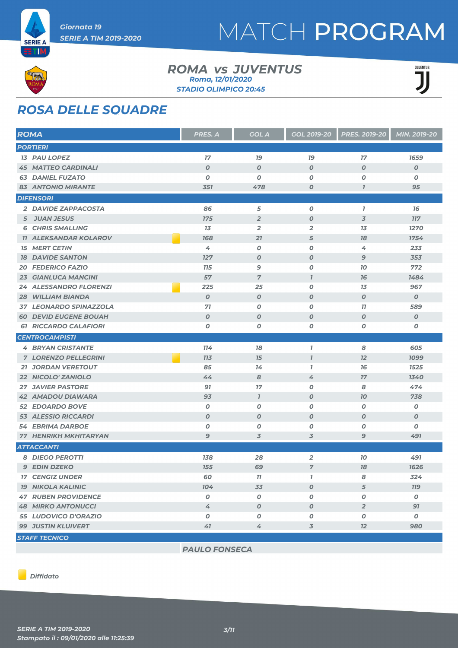



#### *ROMA JUVENTUS vs STADIO OLIMPICO 20:45 Roma, 12/01/2020*



## *ROSA DELLE SQUADRE*

| <b>ROMA</b> |                               | <b>PRES. A</b>   | <b>GOL A</b>     | <b>GOL 2019-20</b> | <b>PRES. 2019-20</b> | MIN. 2019-20     |
|-------------|-------------------------------|------------------|------------------|--------------------|----------------------|------------------|
|             | <b>PORTIERI</b>               |                  |                  |                    |                      |                  |
|             | <b>13 PAU LOPEZ</b>           | 17               | 79               | <b>19</b>          | 17                   | 1659             |
|             | <b>45 MATTEO CARDINALI</b>    | $\boldsymbol{O}$ | $\boldsymbol{0}$ | $\boldsymbol{O}$   | $\boldsymbol{O}$     | $\boldsymbol{o}$ |
|             | <b>63 DANIEL FUZATO</b>       | $\boldsymbol{O}$ | $\boldsymbol{O}$ | $\boldsymbol{O}$   | O                    | 0                |
|             | <b>83 ANTONIO MIRANTE</b>     | 351              | 478              | $\boldsymbol{O}$   | $\mathbf{I}$         | 95               |
|             | <b>DIFENSORI</b>              |                  |                  |                    |                      |                  |
|             | 2 DAVIDE ZAPPACOSTA           | 86               | 5                | $\boldsymbol{O}$   | $\mathbf{I}$         | 76               |
|             | 5 JUAN JESUS                  | <b>175</b>       | $\overline{2}$   | $\boldsymbol{O}$   | $\overline{3}$       | <b>117</b>       |
|             | <b>6 CHRIS SMALLING</b>       | 13               | $\overline{2}$   | $\overline{2}$     | 13                   | 1270             |
|             | <b>11 ALEKSANDAR KOLAROV</b>  | 168              | 21               | 5                  | 78                   | 1754             |
|             | <b>15 MERT CETIN</b>          | 4                | 0                | 0                  | 4                    | 233              |
| 18          | <b>DAVIDE SANTON</b>          | 127              | $\boldsymbol{0}$ | $\boldsymbol{O}$   | 9                    | 353              |
| 20          | <b>FEDERICO FAZIO</b>         | <b>115</b>       | $\mathbf{9}$     | $\boldsymbol{O}$   | 10                   | 772              |
|             | <b>23 GIANLUCA MANCINI</b>    | 57               | $\overline{7}$   | $\overline{1}$     | 76                   | 1484             |
|             | <b>24 ALESSANDRO FLORENZI</b> | 225              | 25               | $\boldsymbol{O}$   | 13                   | 967              |
| 28          | <b>WILLIAM BIANDA</b>         | $\boldsymbol{0}$ | $\boldsymbol{0}$ | $\boldsymbol{O}$   | $\boldsymbol{O}$     | $\boldsymbol{o}$ |
|             | 37 LEONARDO SPINAZZOLA        | 71               | $\boldsymbol{o}$ | $\boldsymbol{O}$   | 11                   | 589              |
| 60          | <b>DEVID EUGENE BOUAH</b>     | $\boldsymbol{O}$ | $\boldsymbol{0}$ | $\boldsymbol{O}$   | $\boldsymbol{O}$     | O                |
|             | <b>61 RICCARDO CALAFIORI</b>  | O                | O                | O                  | 0                    | 0                |
|             | <b>CENTROCAMPISTI</b>         |                  |                  |                    |                      |                  |
|             | <b>4 BRYAN CRISTANTE</b>      | 114              | 78               | $\mathbf{I}$       | 8                    | 605              |
|             | <b>7 LORENZO PELLEGRINI</b>   | <b>713</b>       | 15               | $\overline{1}$     | 12                   | 1099             |
|             | <b>21 JORDAN VERETOUT</b>     | 85               | 14               | $\overline{I}$     | 76                   | 1525             |
|             | 22 NICOLO' ZANIOLO            | 44               | 8                | 4                  | 17                   | 1340             |
|             | <b>27 JAVIER PASTORE</b>      | 91               | 17               | $\boldsymbol{O}$   | 8                    | 474              |
|             | <b>42 AMADOU DIAWARA</b>      | 93               | $\overline{I}$   | $\boldsymbol{O}$   | 10                   | 738              |
|             | <b>52 EDOARDO BOVE</b>        | $\boldsymbol{0}$ | 0                | O                  | 0                    | Ο                |
|             | <b>53 ALESSIO RICCARDI</b>    | $\boldsymbol{O}$ | $\boldsymbol{0}$ | $\boldsymbol{O}$   | $\boldsymbol{O}$     | 0                |
| 54          | <b>EBRIMA DARBOE</b>          | $\boldsymbol{O}$ | $\boldsymbol{0}$ | $\boldsymbol{O}$   | 0                    | 0                |
|             | <b>77 HENRIKH MKHITARYAN</b>  | 9                | 3                | 3                  | 9                    | 491              |
|             | <b>ATTACCANTI</b>             |                  |                  |                    |                      |                  |
|             | <b>8 DIEGO PEROTTI</b>        | 138              | 28               | $\overline{2}$     | 10                   | 491              |
|             | <b>9 EDIN DZEKO</b>           | 155              | 69               | $\overline{7}$     | 18                   | 1626             |
|             | <b>17 CENGIZ UNDER</b>        | 60               | 77               | $\mathbf{I}$       | 8                    | 324              |
|             | <b>19 NIKOLA KALINIC</b>      | 104              | 33               | $\boldsymbol{O}$   | 5                    | <b>119</b>       |
|             | <b>47 RUBEN PROVIDENCE</b>    | $\boldsymbol{O}$ | $\pmb{o}$        | 0                  | O                    | $\boldsymbol{o}$ |
|             | <b>48 MIRKO ANTONUCCI</b>     | 4                | $\boldsymbol{O}$ | $\boldsymbol{O}$   | $\overline{2}$       | 91               |
|             | 55 LUDOVICO D'ORAZIO          | $\boldsymbol{0}$ | $\boldsymbol{0}$ | 0                  | 0                    | $\boldsymbol{o}$ |
|             | <b>99 JUSTIN KLUIVERT</b>     | 41               | 4                | 3                  | 12                   | 980              |
|             | <b>STAFF TECNICO</b>          |                  |                  |                    |                      |                  |

*PAULO FONSECA*

*Diffidato*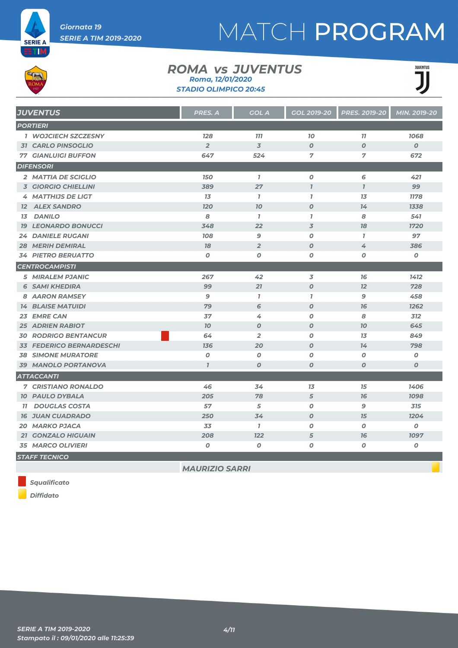

#### *ROMA JUVENTUS vs STADIO OLIMPICO 20:45 Roma, 12/01/2020*



| <b>JUVENTUS</b>                  | PRES. A          | <b>GOL A</b>     | GOL 2019-20      | <b>PRES. 2019-20</b> | MIN. 2019-20     |
|----------------------------------|------------------|------------------|------------------|----------------------|------------------|
| <b>PORTIERI</b>                  |                  |                  |                  |                      |                  |
| <b>1 WOJCIECH SZCZESNY</b>       | <b>128</b>       | <b>777</b>       | 70               | 77                   | 1068             |
| <b>31 CARLO PINSOGLIO</b>        | $\overline{2}$   | $\overline{3}$   | $\boldsymbol{O}$ | $\boldsymbol{O}$     | $\boldsymbol{0}$ |
| <b>77 GIANLUIGI BUFFON</b>       | 647              | 524              | 7                | 7                    | 672              |
| <b>DIFENSORI</b>                 |                  |                  |                  |                      |                  |
| 2 MATTIA DE SCIGLIO              | <b>150</b>       | $\mathbf{7}$     | $\boldsymbol{o}$ | 6                    | 421              |
| <b>3 GIORGIO CHIELLINI</b>       | 389              | 27               | $\overline{1}$   | $\overline{1}$       | 99               |
| 4 MATTHIJS DE LIGT               | 13               | $\mathbf{7}$     | $\mathbf{7}$     | 1 <sub>3</sub>       | 1178             |
| <b>12 ALEX SANDRO</b>            | <b>120</b>       | 70               | $\boldsymbol{O}$ | 74                   | 1338             |
| <b>DANILO</b><br>13 <sup>7</sup> | 8                | $\mathbf{7}$     | $\mathbf{I}$     | 8                    | 541              |
| <b>19 LEONARDO BONUCCI</b>       | 348              | 22               | 3                | 78                   | 1720             |
| <b>24 DANIELE RUGANI</b>         | 108              | 9                | 0                | $\mathbf{7}$         | 97               |
| <b>28 MERIH DEMIRAL</b>          | 78               | $\overline{2}$   | $\boldsymbol{O}$ | 4                    | 386              |
| <b>34 PIETRO BERUATTO</b>        | $\boldsymbol{0}$ | O                | 0                | $\boldsymbol{O}$     | 0                |
| <b>CENTROCAMPISTI</b>            |                  |                  |                  |                      |                  |
| <b>5 MIRALEM PJANIC</b>          | 267              | 42               | 3                | 76                   | 1412             |
| <b>6 SAMI KHEDIRA</b>            | 99               | 21               | $\boldsymbol{O}$ | 12                   | 728              |
| 8 AARON RAMSEY                   | 9                | $\mathbf{I}$     | $\mathbf{I}$     | 9                    | 458              |
| <b>14 BLAISE MATUIDI</b>         | 79               | 6                | $\boldsymbol{O}$ | 76                   | 1262             |
| 23 EMRE CAN                      | 37               | 4                | $\boldsymbol{o}$ | 8                    | 312              |
| <b>25 ADRIEN RABIOT</b>          | 10 <sup>2</sup>  | $\boldsymbol{0}$ | $\boldsymbol{O}$ | 70                   | 645              |
| <b>30 RODRIGO BENTANCUR</b>      | 64               | $\overline{2}$   | 0                | 13                   | 849              |
| <b>33 FEDERICO BERNARDESCHI</b>  | 136              | 20               | $\boldsymbol{O}$ | 14                   | 798              |
| <b>38 SIMONE MURATORE</b>        | $\boldsymbol{o}$ | $\boldsymbol{O}$ | 0                | O                    | $\boldsymbol{o}$ |
| 39 MANOLO PORTANOVA              | $\mathbf{7}$     | $\boldsymbol{0}$ | $\boldsymbol{o}$ | $\boldsymbol{O}$     | $\boldsymbol{0}$ |
| <b>ATTACCANTI</b>                |                  |                  |                  |                      |                  |
| <b>7 CRISTIANO RONALDO</b>       | 46               | 34               | 13               | 15                   | 1406             |
| <b>10 PAULO DYBALA</b>           | 205              | 78               | 5                | 76                   | 1098             |
| <b>11 DOUGLAS COSTA</b>          | 57               | 5                | 0                | 9                    | 315              |
| <b>16 JUAN CUADRADO</b>          | 250              | 34               | $\boldsymbol{0}$ | 15                   | 1204             |
| <b>20 MARKO PJACA</b>            | 33               | $\mathbf{7}$     | 0                | $\boldsymbol{O}$     | 0                |
| <b>21 GONZALO HIGUAIN</b>        | 208              | 122              | 5                | 76                   | 1097             |
| <b>35 MARCO OLIVIERI</b>         | 0                | 0                | O                | O                    | Ο                |
| <b>STAFF TECNICO</b>             |                  |                  |                  |                      |                  |

*MAURIZIO SARRI*

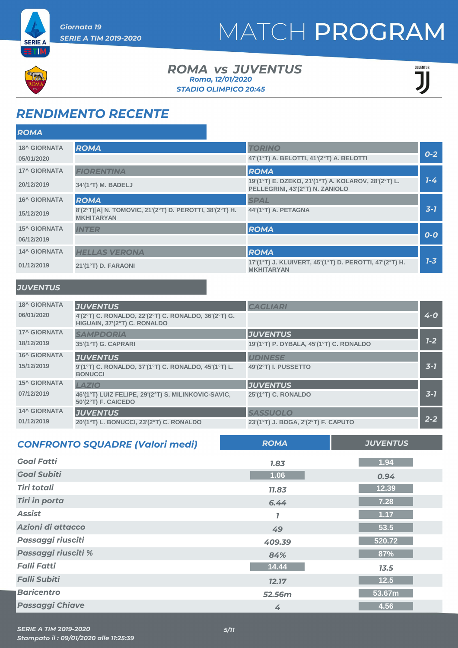



### *ROMA JUVENTUS vs STADIO OLIMPICO 20:45 Roma, 12/01/2020*



### *RENDIMENTO RECENTE*

| <b>ROMA</b>                       |                                                                                             |                                                                                                       |         |
|-----------------------------------|---------------------------------------------------------------------------------------------|-------------------------------------------------------------------------------------------------------|---------|
| <b>18^ GIORNATA</b><br>05/01/2020 | <b>ROMA</b>                                                                                 | <b>TORINO</b><br>47'(1°T) A. BELOTTI, 41'(2°T) A. BELOTTI                                             | $0 - 2$ |
| <b>17^ GIORNATA</b><br>20/12/2019 | <b>FIORENTINA</b><br>34'(1°T) M. BADELJ                                                     | <b>ROMA</b><br>19'(1°T) E. DZEKO, 21'(1°T) A. KOLAROV, 28'(2°T) L.<br>PELLEGRINI, 43'(2°T) N. ZANIOLO | $7 - 4$ |
| <b>16^ GIORNATA</b><br>15/12/2019 | <b>ROMA</b><br>8'(2°T)[A] N. TOMOVIC, 21'(2°T) D. PEROTTI, 38'(2°T) H.<br><b>MKHITARYAN</b> | <b>SPAL</b><br>44'(1°T) A. PETAGNA                                                                    | $3 - 7$ |
| <b>15^ GIORNATA</b><br>06/12/2019 | <b>INTER</b>                                                                                | <b>ROMA</b>                                                                                           | $O-O$   |
| <b>14^ GIORNATA</b><br>01/12/2019 | <b>HELLAS VERONA</b><br>21'(1°T) D. FARAONI                                                 | <b>ROMA</b><br>17'(1°T) J. KLUIVERT, 45'(1°T) D. PEROTTI, 47'(2°T) H.<br><b>MKHITARYAN</b>            | $7 - 3$ |

#### *JUVENTUS*

| <b>18^ GIORNATA</b><br><b>JUVENTUS</b><br><b>CAGLIARI</b>                                                       |         |
|-----------------------------------------------------------------------------------------------------------------|---------|
| 06/01/2020<br>4'(2°T) C. RONALDO, 22'(2°T) C. RONALDO, 36'(2°T) G.<br>HIGUAIN, 37'(2°T) C. RONALDO              | $4 - 0$ |
| <b>17^ GIORNATA</b><br><b>JUVENTUS</b><br><b>SAMPDORIA</b>                                                      |         |
| 18/12/2019<br>35'(1°T) G. CAPRARI<br>19'(1°T) P. DYBALA, 45'(1°T) C. RONALDO                                    | $1 - 2$ |
| <b>16^ GIORNATA</b><br><b>JUVENTUS</b><br><b>UDINESE</b>                                                        |         |
| 15/12/2019<br>9'(1°T) C. RONALDO, 37'(1°T) C. RONALDO, 45'(1°T) L.<br>49'(2°T) I. PUSSETTO<br><b>BONUCCI</b>    | $3 - 7$ |
| <b>15^ GIORNATA</b><br>LAZIO<br><b>JUVENTUS</b>                                                                 |         |
| 07/12/2019<br>46'(1°T) LUIZ FELIPE, 29'(2°T) S. MILINKOVIC-SAVIC,<br>25'(1°T) C. RONALDO<br>50'(2°T) F. CAICEDO | $3 - 1$ |
| <b>14^ GIORNATA</b><br><b>JUVENTUS</b><br><b>SASSUOLO</b>                                                       |         |
| 01/12/2019<br>20'(1°T) L. BONUCCI, 23'(2°T) C. RONALDO<br>23'(1°T) J. BOGA, 2'(2°T) F. CAPUTO                   | $2 - 2$ |

| <b>CONFRONTO SQUADRE (Valori medi)</b> | <b>ROMA</b> | <b>JUVENTUS</b> |
|----------------------------------------|-------------|-----------------|
| <b>Goal Fatti</b>                      | 1.83        | 1.94            |
| <b>Goal Subiti</b>                     | 1.06        | 0.94            |
| <b>Tiri totali</b>                     | 11.83       | 12.39           |
| <b>Tiri in porta</b>                   | 6.44        | 7.28            |
| <b>Assist</b>                          |             | 1.17            |
| Azioni di attacco                      | 49          | 53.5            |
| Passaggi riusciti                      | 409.39      | 520.72          |
| Passaggi riusciti %                    | 84%         | 87%             |
| <b>Falli Fatti</b>                     | 14.44       | 13.5            |
| <b>Falli Subiti</b>                    | 12.17       | 12.5            |
| <b>Baricentro</b>                      | 52.56m      | 53.67m          |
| <b>Passaggi Chiave</b>                 | 4           | 4.56            |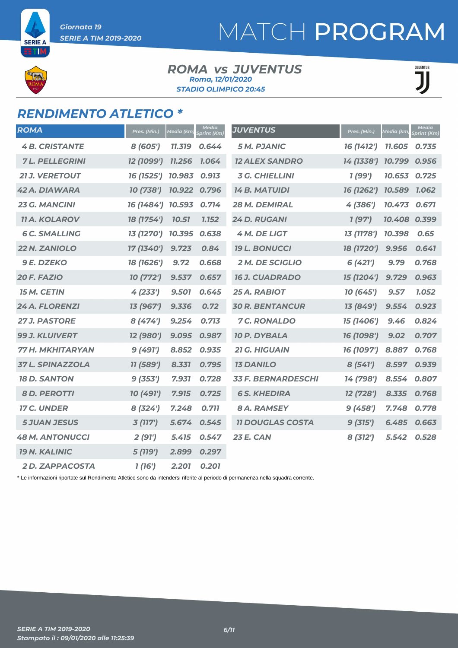**SERIE A** ТB

# MATCH PROGRAM

#### *ROMA JUVENTUS vs STADIO OLIMPICO 20:45 Roma, 12/01/2020*

**JUVENTUS** T

### *RENDIMENTO ATLETICO \**

| <b>ROMA</b>             | Pres. (Min.)      | Media (km) | Media<br>print (Km) | <b>JUVENTUS</b>           | Pres. (Min.) | Media (km)   | <b>Media</b><br>Sprint (Km) |
|-------------------------|-------------------|------------|---------------------|---------------------------|--------------|--------------|-----------------------------|
| <b>4B. CRISTANTE</b>    | 8 (605')          | 11.319     | 0.644               | <b>5 M. PJANIC</b>        | 16 (1412')   | 11.605       | 0.735                       |
| <b>7L. PELLEGRINI</b>   | 12 (1099')        | 11.256     | 1.064               | <b>12 ALEX SANDRO</b>     | 14 (1338')   | 10.799       | 0.956                       |
| <b>21 J. VERETOUT</b>   | 16 (1525') 10.983 |            | 0.913               | <b>3 G. CHIELLINI</b>     | 1 (99')      | 10.653 0.725 |                             |
| <b>42 A. DIAWARA</b>    | 10 (738')         | 10.922     | 0.796               | <b>14 B. MATUIDI</b>      | 16 (1262')   | 10.589 1.062 |                             |
| <b>23 G. MANCINI</b>    | 16 (1484')        | 10.593     | 0.714               | 28 M. DEMIRAL             | 4 (386')     | 10.473       | 0.671                       |
| <b>11 A. KOLAROV</b>    | 18 (1754')        | 10.51      | 1.152               | 24 D. RUGANI              | 1(97)        | 10.408 0.399 |                             |
| <b>6 C. SMALLING</b>    | 13 (1270')        | 10.395     | 0.638               | <b>4 M. DE LIGT</b>       | 13 (1178')   | 10.398       | 0.65                        |
| 22 N. ZANIOLO           | 17 (1340')        | 9.723      | 0.84                | <b>19 L. BONUCCI</b>      | 18 (1720')   | 9.956        | 0.641                       |
| <b>9 E. DZEKO</b>       | 18 (1626')        | 9.72       | 0.668               | <b>2 M. DE SCIGLIO</b>    | 6 (421')     | 9.79         | 0.768                       |
| 20 F. FAZIO             | 10 (772')         | 9.537      | 0.657               | <b>16 J. CUADRADO</b>     | 15 (1204')   | 9.729        | 0.963                       |
| <b>15 M. CETIN</b>      | 4(233')           | 9.501      | 0.645               | 25 A. RABIOT              | 10 (645')    | 9.57         | 1.052                       |
| 24 A. FLORENZI          | 13 (967')         | 9.336      | 0.72                | <b>30 R. BENTANCUR</b>    | 13 (849')    | 9.554        | 0.923                       |
| <b>27 J. PASTORE</b>    | 8(474)            | 9.254      | 0.713               | <b>7 C. RONALDO</b>       | 15 (1406')   | 9.46         | 0.824                       |
| 99 J. KLUIVERT          | 12 (980')         | 9.095      | 0.987               | <b>10 P. DYBALA</b>       | 16 (1098')   | 9.02         | 0.707                       |
| 77 H. MKHITARYAN        | 9(491)            | 8.852      | 0.935               | 21 G. HIGUAIN             | 16 (1097')   | 8.887        | 0.768                       |
| <b>37 L. SPINAZZOLA</b> | 11 (589')         | 8.331      | 0.795               | <b>13 DANILO</b>          | 8(541)       | 8.597        | 0.939                       |
| <b>18 D. SANTON</b>     | 9(353')           | 7.931      | 0.728               | <b>33 F. BERNARDESCHI</b> | 14 (798')    | 8.554        | 0.807                       |
| <b>8 D. PEROTTI</b>     | 10 (491')         | 7.915      | 0.725               | <b>6 S. KHEDIRA</b>       | 12 (728')    | 8.335        | 0.768                       |
| <b>17 C. UNDER</b>      | 8(324')           | 7.248      | 0.711               | <b>8 A. RAMSEY</b>        | 9(458')      | 7.748        | 0.778                       |
| <b>5 JUAN JESUS</b>     | 3(117)            | 5.674      | 0.545               | <b>11 DOUGLAS COSTA</b>   | 9(315')      | 6.485        | 0.663                       |
| <b>48 M. ANTONUCCI</b>  | 2(91')            | 5.415      | 0.547               | <b>23 E. CAN</b>          | 8 (312')     | 5.542        | 0.528                       |
| <b>19 N. KALINIC</b>    | 5 (119')          | 2.899      | 0.297               |                           |              |              |                             |
| <b>2D. ZAPPACOSTA</b>   | 1(16')            | 2.201      | 0.201               |                           |              |              |                             |

\* Le informazioni riportate sul Rendimento Atletico sono da intendersi riferite al periodo di permanenza nella squadra corrente.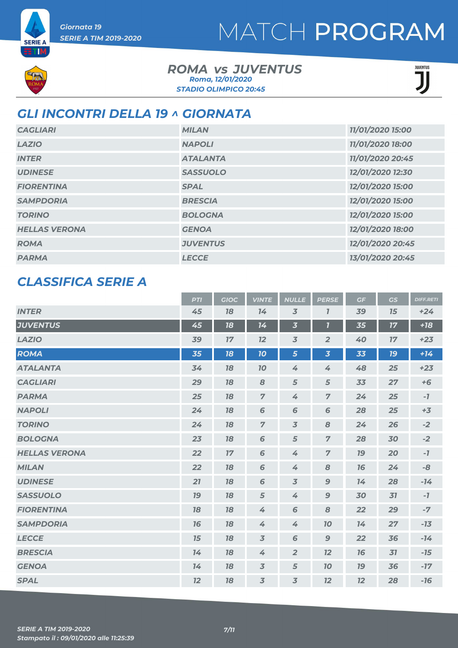

**SERIE A** ETIM

### *ROMA JUVENTUS vs STADIO OLIMPICO 20:45 Roma, 12/01/2020*



### *GLI INCONTRI DELLA 19 ^ GIORNATA*

| <b>CAGLIARI</b>      | <b>MILAN</b>    | 11/01/2020 15:00 |
|----------------------|-----------------|------------------|
| <b>LAZIO</b>         | <b>NAPOLI</b>   | 11/01/2020 18:00 |
| <b>INTER</b>         | <b>ATALANTA</b> | 11/01/2020 20:45 |
| <b>UDINESE</b>       | <b>SASSUOLO</b> | 12/01/2020 12:30 |
| <b>FIORENTINA</b>    | <b>SPAL</b>     | 12/01/2020 15:00 |
| <b>SAMPDORIA</b>     | <b>BRESCIA</b>  | 12/01/2020 15:00 |
| <b>TORINO</b>        | <b>BOLOGNA</b>  | 12/01/2020 15:00 |
| <b>HELLAS VERONA</b> | <b>GENOA</b>    | 12/01/2020 18:00 |
| <b>ROMA</b>          | <b>JUVENTUS</b> | 12/01/2020 20:45 |
| <b>PARMA</b>         | <b>LECCE</b>    | 13/01/2020 20:45 |

### *CLASSIFICA SERIE A*

|                      | <b>PTI</b> | <b>GIOC</b> | <b>VINTE</b>   | <b>NULLE</b>            | <b>PERSE</b>            | GF | GS        | <b>DIFF.RETI</b> |
|----------------------|------------|-------------|----------------|-------------------------|-------------------------|----|-----------|------------------|
| <b>INTER</b>         | 45         | 18          | 14             | $\overline{3}$          | $\mathbf{7}$            | 39 | 15        | $+24$            |
| <b>JUVENTUS</b>      | 45         | 18          | 14             | $\overline{\mathbf{3}}$ | $\overline{\mathbf{I}}$ | 35 | 17        | $+18$            |
| <b>LAZIO</b>         | 39         | 17          | 12             | $\overline{3}$          | $\overline{2}$          | 40 | 17        | $+23$            |
| <b>ROMA</b>          | 35         | 18          | 10             | 5                       | $\overline{\mathbf{3}}$ | 33 | <b>19</b> | $+14$            |
| <b>ATALANTA</b>      | 34         | 18          | 10             | $\overline{4}$          | $\overline{4}$          | 48 | 25        | $+23$            |
| <b>CAGLIARI</b>      | 29         | 18          | 8              | 5                       | 5                       | 33 | 27        | $+6$             |
| <b>PARMA</b>         | 25         | 18          | $\overline{7}$ | 4                       | $\overline{7}$          | 24 | 25        | $-7$             |
| <b>NAPOLI</b>        | 24         | 18          | 6              | 6                       | 6                       | 28 | 25        | $+3$             |
| <b>TORINO</b>        | 24         | 18          | $\overline{7}$ | $\overline{3}$          | 8                       | 24 | 26        | $-2$             |
| <b>BOLOGNA</b>       | 23         | 18          | 6              | $\sqrt{5}$              | $\overline{z}$          | 28 | 30        | $-2$             |
| <b>HELLAS VERONA</b> | 22         | $17\,$      | 6              | 4                       | $\overline{z}$          | 19 | 20        | $-7$             |
| <b>MILAN</b>         | 22         | 18          | 6              | 4                       | 8                       | 76 | 24        | -8               |
| <b>UDINESE</b>       | 21         | 18          | 6              | $\overline{3}$          | $\mathbf{9}$            | 74 | 28        | $-14$            |
| <b>SASSUOLO</b>      | 19         | 18          | $\sqrt{5}$     | 4                       | $\mathbf{9}$            | 30 | 31        | $-7$             |
| <b>FIORENTINA</b>    | 18         | 18          | 4              | $\sqrt{6}$              | $\pmb{8}$               | 22 | 29        | $-7$             |
| <b>SAMPDORIA</b>     | 76         | 18          | 4              | 4                       | 70                      | 14 | 27        | $-13$            |
| <b>LECCE</b>         | 15         | 18          | $\overline{3}$ | 6                       | $\mathbf{9}$            | 22 | 36        | $-14$            |
| <b>BRESCIA</b>       | 74         | 18          | 4              | $\overline{2}$          | 12                      | 76 | 31        | $-15$            |
| <b>GENOA</b>         | 14         | 18          | $\overline{3}$ | $\sqrt{5}$              | 10                      | 19 | 36        | $-17$            |
| <b>SPAL</b>          | 12         | 18          | $\overline{3}$ | $\overline{3}$          | 12                      | 12 | 28        | $-16$            |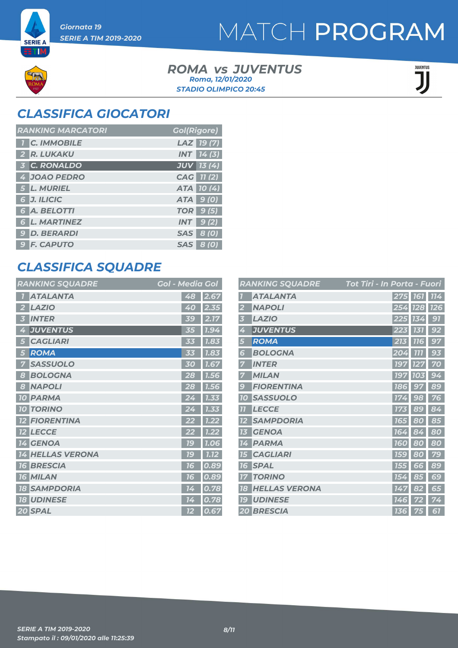**SERIE A** ETM

#### *ROMA JUVENTUS vs STADIO OLIMPICO 20:45 Roma, 12/01/2020*

JUVENTUS JJ

### *CLASSIFICA GIOCATORI*

| <b>RANKING MARCATORI</b> | <b>Gol(Rigore)</b> |
|--------------------------|--------------------|
| <b>1 C. IMMOBILE</b>     | LAZ 19(7)          |
| 2 R. LUKAKU              | <b>INT</b> 14(3)   |
| 3 C. RONALDO             | $JUV$ 13 (4)       |
| 4 JOAO PEDRO             | CAG 11 (2)         |
| 5 L. MURIEL              | ATA 10(4)          |
| 6 J. ILICIC              | ATA 9(0)           |
| 6 A. BELOTTI             | <b>TOR</b> 9 (5)   |
| <b>6 L. MARTINEZ</b>     | $INT$ 9(2)         |
| 9 D. BERARDI             | <b>SAS</b> 8 (0)   |
| <b>9 F. CAPUTO</b>       | <b>SAS</b> 8 (0)   |

### *CLASSIFICA SQUADRE*

| <b>RANKING SQUADRE</b>     | <b>Gol - Media Gol</b> |
|----------------------------|------------------------|
| <b>ATALANTA</b>            | 48<br>2.67             |
| <b>LAZIO</b>               | 2.35                   |
| 2                          | 40                     |
| <b>INTER</b>               | 2.17<br><b>39</b>      |
| <b>JUVENTUS</b>            | 1.94                   |
| 4                          | 35                     |
| <b>CAGLIARI</b>            | 1.83                   |
| 5                          | 33                     |
| <b>ROMA</b>                | 1.83                   |
| 5                          | 33                     |
| <b>SASSUOLO</b>            | 1.67                   |
| 7                          | 30                     |
| <b>BOLOGNA</b>             | 28                     |
| 8                          | 1.56                   |
| <b>NAPOLI</b>              | 28                     |
| 8                          | 1.56                   |
| <b>PARMA</b>               | 1.33                   |
| <b>10</b>                  | 24                     |
| <b>TORINO</b><br><b>10</b> | 1.33                   |
| <b>FIORENTINA</b>          | 1.22                   |
| <b>LECCE</b>               | 1.22                   |
| <b>12</b>                  | 22                     |
| <b>14 GENOA</b>            | <b>79</b><br>1.06      |
| <b>HELLAS VERONA</b>       | 1C                     |
| 14                         | 1.12                   |
| <b>BRESCIA</b>             | 0.89                   |
| 16                         | 16                     |
| <b>16 MILAN</b>            | 0.89<br>76             |
| <b>SAMPDORIA</b>           | 0.78                   |
| 18                         | 14                     |
| <b>18 UDINESE</b>          | 0.78<br>14             |
| 20 SPAL                    | 0.67<br>12             |

|                | <b>RANKING SQUADRE</b> | <b>Tot Tiri - In Porta - Fuori</b> |                |            |
|----------------|------------------------|------------------------------------|----------------|------------|
|                | <b>ATALANTA</b>        | 275 161                            |                | 114        |
|                | <b>NAPOLI</b>          | 254                                | <b>128</b>     | <b>126</b> |
| B              | <b>LAZIO</b>           | 225                                | 13<br>4        | 97         |
| 4              | <b>JUVENTUS</b>        | 223                                | 131            | 92         |
| 5              | <b>ROMA</b>            | 213                                | <b>77</b><br>Б | 97         |
| 6              | <b>BOLOGNA</b>         | 204                                | 777            | 93         |
|                | <b>INTER</b>           | <b>197</b>                         | 127            | 70         |
|                | <b>MILAN</b>           | <b>197</b>                         | 103            | 94         |
| g              | <b>FIORENTINA</b>      | 186                                | 97             | 89         |
| <b>10</b>      | <b>SASSUOLO</b>        | 174                                | 98             | 76         |
| $\overline{H}$ | <b>LECCE</b>           |                                    | 89             | 84         |
|                | <b>SAMPDORIA</b>       | 165                                | 80             | 85         |
| 13             | <b>GENOA</b>           | 164                                | 84             | 80         |
| 14             | <b>PARMA</b>           | <b>160</b>                         | 80             | 80         |
| 15             | <b>CAGLIARI</b>        | <b>159</b>                         | 80             | 79         |
| 16             | <b>SPAL</b>            | 155                                | 66             | 89         |
|                | <b>TORINO</b>          | 154                                | 85             | 69         |
| 18             | <b>HELLAS VERONA</b>   | 147                                | 82             | 65         |
| 79             | <b>UDINESE</b>         | 74<br>6                            |                | 4          |
|                | <b>20 BRESCIA</b>      | <b>136</b>                         | 75             | 61         |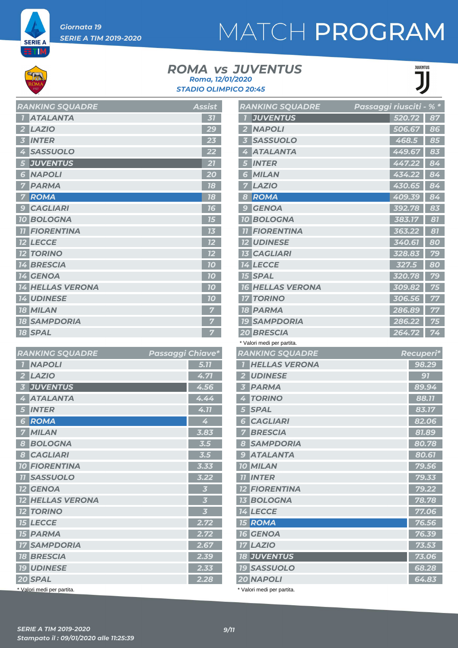

ETM,

# MATCH PROGRAM

#### *ROMA JUVENTUS vs STADIO OLIMPICO 20:45 Roma, 12/01/2020*



| <b>RANKING SQUADRE</b>            | <b>Assist</b> |
|-----------------------------------|---------------|
| <b>ATALANTA</b>                   | 31            |
| <b>LAZIO</b>                      | 29            |
| <b>INTER</b><br>i3                | 23            |
| <b>SASSUOLO</b>                   |               |
| <b>JUVENTUS</b><br>5              | 21            |
| <b>NAPOLI</b><br>6                | 20            |
| <b>PARMA</b>                      | 18            |
| <b>ROMA</b><br>7                  | 18            |
| <b>CAGLIARI</b><br>9              | 16            |
| <b>BOLOGNA</b><br>10 <sup>°</sup> | -גון          |
| <b>FIORENTINA</b>                 |               |
| <b>12 LECCE</b>                   | 12            |
| <b>TORINO</b>                     | 12            |
| <b>BRESCIA</b><br>14              | 70            |
| <b>14 GENOA</b>                   | 70            |
| <b>14 HELLAS VERONA</b>           | 10            |
| <b>14 UDINESE</b>                 | 10            |
| <b>18 MILAN</b>                   |               |
| <b>18 SAMPDORIA</b>               |               |
| <b>18 SPAL</b>                    | 7             |

| <b>RANKING SQUADRE</b>              | Passaggi Chiave*        |
|-------------------------------------|-------------------------|
| <b>NAPOLI</b><br>7                  | 5.77                    |
| <b>LAZIO</b><br>2                   | 4.71                    |
| <b>JUVENTUS</b><br>3                | 4.56                    |
| <b>ATALANTA</b><br>4                | 4.44                    |
| <b>INTER</b><br>5                   | 4.11                    |
| <b>ROMA</b><br>6                    | 4                       |
| <b>MILAN</b>                        | 3.83                    |
| <b>BOLOGNA</b><br>8                 | 3.5                     |
| <b>CAGLIARI</b><br>$\boldsymbol{s}$ | 3.5                     |
| <b>10 FIORENTINA</b>                | 3.33                    |
| <b>11 SASSUOLO</b>                  | 3.22                    |
| <b>12 GENOA</b>                     | $\overline{\mathbf{3}}$ |
| <b>12 HELLAS VERONA</b>             | $\overline{\mathbf{3}}$ |
| <b>12 TORINO</b>                    | $\overline{\mathbf{3}}$ |
| <b>15 LECCE</b>                     | 2.72                    |
| <b>15 PARMA</b>                     | 2.72                    |
| <b>17 SAMPDORIA</b>                 | 2.67                    |
| <b>18 BRESCIA</b>                   | 2.39                    |
| <b>19 UDINESE</b>                   | 2.33                    |
| 20 SPAL                             | 2.28                    |
| * Valori medi per partita.          |                         |

|                | <b>RANKING SQUADRE</b>     | Passaggi riusciti - |        | $%$ *           |
|----------------|----------------------------|---------------------|--------|-----------------|
|                | <b>JUVENTUS</b>            |                     | 520.72 | 87              |
| 2              | <b>NAPOLI</b>              |                     | 506.67 | 86              |
| 3              | <b>SASSUOLO</b>            |                     | 468.5  | 85              |
| 4              | <b>ATALANTA</b>            |                     | 449.67 | 83              |
| 5              | <b>INTER</b>               |                     | 447.22 | 84              |
| 6              | <b>MILAN</b>               |                     | 434.22 | $\overline{84}$ |
| 7              | <b>LAZIO</b>               |                     | 430.65 | 84              |
| 8              | ROMA                       |                     | 409.39 | 84              |
| -9             | <b>GENOA</b>               |                     | 392.78 | 83              |
|                | <b>10 BOLOGNA</b>          |                     | 383.17 | 87              |
|                | <b>11 FIORENTINA</b>       |                     | 363.22 | 81              |
|                | <b>12 UDINESE</b>          |                     | 340.61 | 80              |
|                | <b>13 CAGLIARI</b>         |                     | 328.83 | 79              |
|                | <b>14 LECCE</b>            |                     | 327.5  | 80              |
|                | <b>15 SPAL</b>             |                     | 320.78 | 79              |
|                | <b>16 HELLAS VERONA</b>    |                     | 309.82 | 75              |
|                | <b>17 TORINO</b>           |                     | 306.56 | 77              |
|                | <b>18 PARMA</b>            |                     | 286.89 | 77              |
|                | <b>19 SAMPDORIA</b>        |                     | 286.22 | 75              |
|                | <b>20 BRESCIA</b>          |                     | 264.72 | 74              |
|                | * Valori medi per partita. |                     |        |                 |
|                | <b>RANKING SQUADRE</b>     |                     |        | Recuperi*       |
| $\overline{I}$ | <b>HELLAS VERONA</b>       |                     |        | 98.29           |
|                | 2 UDINESE                  |                     |        | 97              |
| 3              | <b>PARMA</b>               |                     |        | 89.94           |
| 4              | <b>TORINO</b>              |                     |        | 88.77           |
| 5              | <b>SPAL</b>                |                     |        | 83.17           |
| 6              | <b>CAGLIARI</b>            |                     |        | 82.06           |
| 7 <sup>1</sup> | <b>BRESCIA</b>             |                     |        | 81.89           |
|                | 8 SAMPDORIA                |                     |        | 80.78           |
|                | <b>9 ATALANTA</b>          |                     |        | 80.61           |
|                | <b>10 MILAN</b>            |                     |        | 79.56           |
|                | <b>TI INTER</b>            |                     |        | 79.33           |
|                | <b>12 FIORENTINA</b>       |                     |        | 79.22           |
|                | <b>13 BOLOGNA</b>          |                     |        | 78.78           |
|                | 14 LECCE                   |                     |        | 77.06           |
|                | <b>15 ROMA</b>             |                     |        | 76.56           |
|                | <b>16 GENOA</b>            |                     |        | 76.39           |
|                | <b>17 LAZIO</b>            |                     |        | 73.53           |
|                | <b>18 JUVENTUS</b>         |                     |        | 73.06           |

 *SASSUOLO 68.28 NAPOLI 64.83*

\* Valori medi per partita.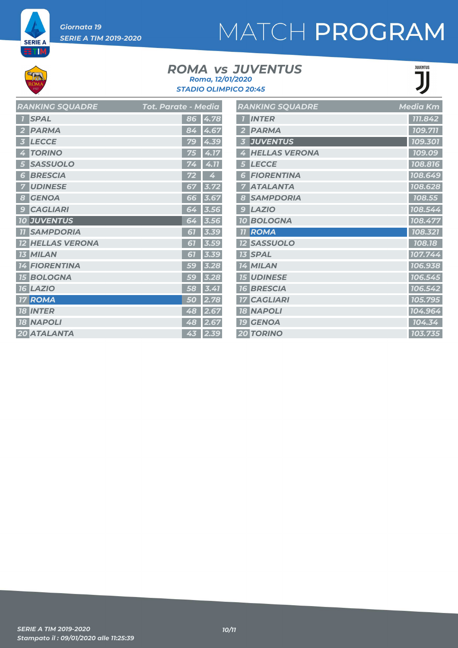*Giornata 19 SERIE A TIM 2019-2020*

**SERIE A ETM** 

# MATCH PROGRAM

#### *ROMA JUVENTUS vs STADIO OLIMPICO 20:45 Roma, 12/01/2020*



| <b>RANKING SQUADRE</b>  | Tot. Parate - Media   | <b>RANKING SQUADRE</b> | Media Km |
|-------------------------|-----------------------|------------------------|----------|
| <b>1</b> SPAL           | 86 4.78               | <b>INTER</b>           | 111.842  |
| 2 PARMA                 | 84 4.67               | 2 PARMA                | 109.711  |
| 3 LECCE                 | 79 4.39               | <b>3 JUVENTUS</b>      | 109.301  |
| 4 TORINO                | 75 4.17               | 4 HELLAS VERONA        | 109.09   |
| 5 SASSUOLO              | $74$ 4.11             | 5 LECCE                | 108.816  |
| <b>6 BRESCIA</b>        | $\overline{4}$<br>72  | <b>6 FIORENTINA</b>    | 108.649  |
| <b>7 UDINESE</b>        | 3.72<br>67            | <b>7 ATALANTA</b>      | 108.628  |
| 8 GENOA                 | $66$ 3.67             | 8 SAMPDORIA            | 108.55   |
| 9 CAGLIARI              | 64 3.56               | $9$ $LAZIO$            | 108.544  |
| <b>10 JUVENTUS</b>      | $64$ 3.56             | 10 BOLOGNA             | 108.477  |
| <b>11 SAMPDORIA</b>     | $61$ 3.39             | <b>11 ROMA</b>         | 108.321  |
| <b>12 HELLAS VERONA</b> | $61$ 3.59             | <b>12 SASSUOLO</b>     | 108.18   |
| <b>13 MILAN</b>         | 61 3.39               | <b>13 SPAL</b>         | 107.744  |
| <b>14 FIORENTINA</b>    | $\overline{59}$ 3.28  | 14 MILAN               | 106.938  |
| <b>15 BOLOGNA</b>       | $\overline{59}$ 3.28  | <b>15 UDINESE</b>      | 106.545  |
| <b>16 LAZIO</b>         | $58 \overline{)3.41}$ | <b>16 BRESCIA</b>      | 106.542  |
| <b>17 ROMA</b>          | 2.78<br><b>50</b>     | <b>17 CAGLIARI</b>     | 105.795  |
| <b>18 INTER</b>         | 48 2.67               | <b>18 NAPOLI</b>       | 104.964  |
| <b>18 NAPOLI</b>        | 48 2.67               | <b>19 GENOA</b>        | 104.34   |
| 20 ATALANTA             | 43 2.39               | <b>20 TORINO</b>       | 103.735  |